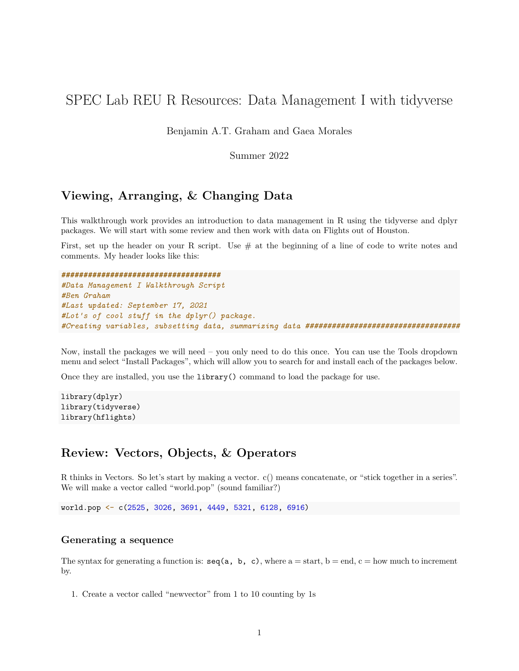# SPEC Lab REU R Resources: Data Management I with tidyverse

Benjamin A.T. Graham and Gaea Morales

Summer 2022

## **Viewing, Arranging, & Changing Data**

This walkthrough work provides an introduction to data management in R using the tidyverse and dplyr packages. We will start with some review and then work with data on Flights out of Houston.

First, set up the header on your R script. Use  $#$  at the beginning of a line of code to write notes and comments. My header looks like this:

**####################################** *#Data Management I Walkthrough Script #Ben Graham #Last updated: September 17, 2021 #Lot's of cool stuff in the dplyr() package. #Creating variables, subsetting data, summarizing data ###################################*

Now, install the packages we will need – you only need to do this once. You can use the Tools dropdown menu and select "Install Packages", which will allow you to search for and install each of the packages below.

Once they are installed, you use the library() command to load the package for use.

library(dplyr) library(tidyverse) library(hflights)

## **Review: Vectors, Objects, & Operators**

R thinks in Vectors. So let's start by making a vector. c() means concatenate, or "stick together in a series". We will make a vector called "world.pop" (sound familiar?)

world.pop <- c(2525, 3026, 3691, 4449, 5321, 6128, 6916)

#### **Generating a sequence**

The syntax for generating a function is:  $\text{seq}(a, b, c)$ , where  $a = \text{start}$ ,  $b = \text{end}$ ,  $c = \text{how much to increment}$ by.

1. Create a vector called "newvector" from 1 to 10 counting by 1s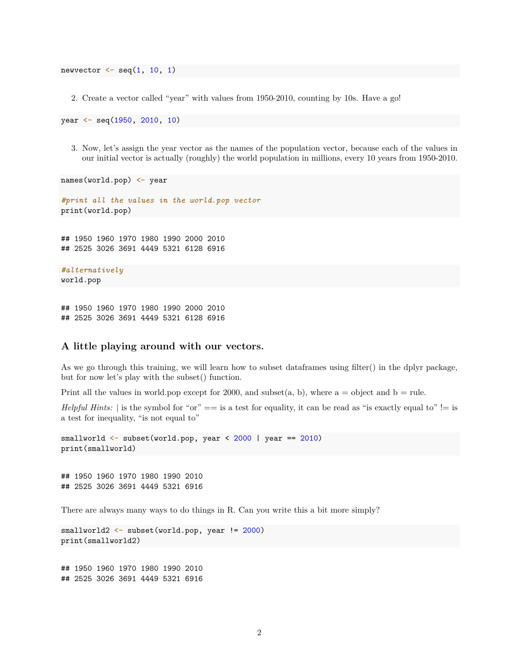newvector  $\leq$  seq $(1, 10, 1)$ 

2. Create a vector called "year" with values from 1950-2010, counting by 10s. Have a go!

year <- seq(1950, 2010, 10)

3. Now, let's assign the year vector as the names of the population vector, because each of the values in our initial vector is actually (roughly) the world population in millions, every 10 years from 1950-2010.

names(world.pop) <- year

```
#print all the values in the world.pop vector
print(world.pop)
```
## 1950 1960 1970 1980 1990 2000 2010 ## 2525 3026 3691 4449 5321 6128 6916

```
#alternatively
world.pop
```
## 1950 1960 1970 1980 1990 2000 2010 ## 2525 3026 3691 4449 5321 6128 6916

#### **A little playing around with our vectors.**

As we go through this training, we will learn how to subset dataframes using filter() in the dplyr package, but for now let's play with the subset() function.

Print all the values in world.pop except for 2000, and subset $(a, b)$ , where  $a =$  object and  $b =$  rule.

*Helpful Hints:* | is the symbol for "or" == is a test for equality, it can be read as "is exactly equal to" != is a test for inequality, "is not equal to"

smallworld <- subset(world.pop, year < 2000 | year == 2010) print(smallworld)

## 1950 1960 1970 1980 1990 2010 ## 2525 3026 3691 4449 5321 6916

There are always many ways to do things in R. Can you write this a bit more simply?

smallworld2 <- subset(world.pop, year != 2000) print(smallworld2)

## 1950 1960 1970 1980 1990 2010 ## 2525 3026 3691 4449 5321 6916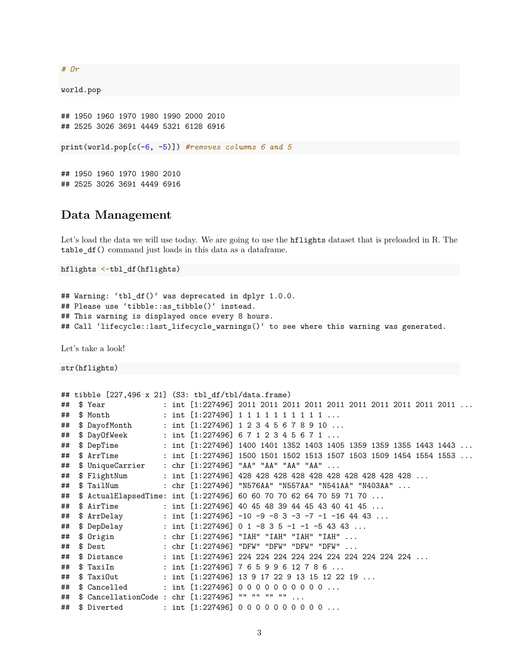#### *# Or*

world.pop

## 1950 1960 1970 1980 1990 2000 2010 ## 2525 3026 3691 4449 5321 6128 6916

print(world.pop[c(-6, -5)]) *#removes columns 6 and 5*

## 1950 1960 1970 1980 2010 ## 2525 3026 3691 4449 6916

### **Data Management**

Let's load the data we will use today. We are going to use the hflights dataset that is preloaded in R. The table\_df() command just loads in this data as a dataframe.

```
hflights <-tbl_df(hflights)
```

```
## Warning: 'tbl_df()' was deprecated in dplyr 1.0.0.
## Please use 'tibble::as tibble()' instead.
## This warning is displayed once every 8 hours.
## Call 'lifecycle::last_lifecycle_warnings()' to see where this warning was generated.
```
Let's take a look!

str(hflights)

```
## tibble [227,496 x 21] (S3: tbl_df/tbl/data.frame)
## $ Year : int [1:227496] 2011 2011 2011 2011 2011 2011 2011 2011 2011 2011 ...
## $ Month : int [1:227496] 1 1 1 1 1 1 1 1 1 1 ...
## $ DayofMonth : int [1:227496] 1 2 3 4 5 6 7 8 9 10 ...
## $ DayOfWeek : int [1:227496] 6 7 1 2 3 4 5 6 7 1 ...
## $ DepTime : int [1:227496] 1400 1401 1352 1403 1405 1359 1359 1355 1443 1443 ...
## $ ArrTime : int [1:227496] 1500 1501 1502 1513 1507 1503 1509 1454 1554 1553 ...
## $ UniqueCarrier : chr [1:227496] "AA" "AA" "AA" "AA" ...
## $ FlightNum : int [1:227496] 428 428 428 428 428 428 428 428 428 428 ...
## $ TailNum : chr [1:227496] "N576AA" "N557AA" "N541AA" "N403AA" ...
## $ ActualElapsedTime: int [1:227496] 60 60 70 70 62 64 70 59 71 70 ...
## $ AirTime : int [1:227496] 40 45 48 39 44 45 43 40 41 45 ...
## $ ArrDelay : int [1:227496] -10 -9 -8 3 -3 -7 -1 -16 44 43 ...
## $ DepDelay : int [1:227496] 0 1 -8 3 5 -1 -1 -5 43 43 ...
                    : chr [1:227496] "IAH" "IAH" "IAH" "IAH" ...
## $ Dest : chr [1:227496] "DFW" "DFW" "DFW" "DFW" ...
## $ Distance : int [1:227496] 224 224 224 224 224 224 224 224 224 224 ...
## $TaxiIn : int [1:227496] 7 6 5 9 9 6 12 7 8 6 ...
## $ TaxiOut : int [1:227496] 13 9 17 22 9 13 15 12 22 19 ...
## $ Cancelled : int [1:227496] 0 0 0 0 0 0 0 0 0 0 ...
## $ CancellationCode : chr [1:227496] "" "" "" "" ...
## $ Diverted : int [1:227496] 0 0 0 0 0 0 0 0 0 0 ...
```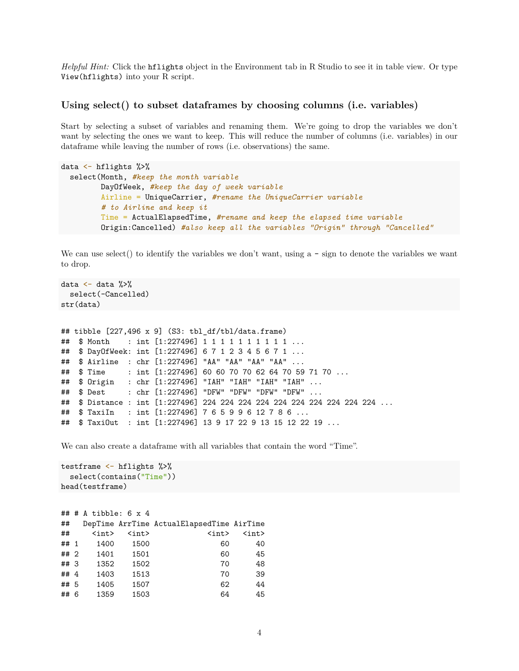*Helpful Hint:* Click the hflights object in the Environment tab in R Studio to see it in table view. Or type View(hflights) into your R script.

#### **Using select() to subset dataframes by choosing columns (i.e. variables)**

Start by selecting a subset of variables and renaming them. We're going to drop the variables we don't want by selecting the ones we want to keep. This will reduce the number of columns (i.e. variables) in our dataframe while leaving the number of rows (i.e. observations) the same.

```
data <- hflights %>%
  select(Month, #keep the month variable
         DayOfWeek, #keep the day of week variable
         Airline = UniqueCarrier, #rename the UniqueCarrier variable
         # to Airline and keep it
         Time = ActualElapsedTime, #rename and keep the elapsed time variable
         Origin:Cancelled) #also keep all the variables "Origin" through "Cancelled"
```
We can use select() to identify the variables we don't want, using  $a - \text{sign}$  to denote the variables we want to drop.

```
data \leq data \frac{9}{2}%
 select(-Cancelled)
str(data)
## tibble [227,496 x 9] (S3: tbl_df/tbl/data.frame)
## $ Month : int [1:227496] 1 1 1 1 1 1 1 1 1 1 ...
## $ DayOfWeek: int [1:227496] 6 7 1 2 3 4 5 6 7 1 ...
## $ Airline : chr [1:227496] "AA" "AA" "AA" "AA" ...
## $ Time : int [1:227496] 60 60 70 70 62 64 70 59 71 70 ...
## $ Origin : chr [1:227496] "IAH" "IAH" "IAH" "IAH" ...
## $ Dest : chr [1:227496] "DFW" "DFW" "DFW" "DFW" ...
## $ Distance : int [1:227496] 224 224 224 224 224 224 224 224 224 224 ...
## $ TaxiIn : int [1:227496] 7 6 5 9 9 6 12 7 8 6 ...
## $ TaxiOut : int [1:227496] 13 9 17 22 9 13 15 12 22 19 ...
```
We can also create a dataframe with all variables that contain the word "Time".

```
testframe <- hflights %>%
  select(contains("Time"))
head(testframe)
```

|        | ## # A tibble: 6 $\times$ 4  |                              |                                           |                              |
|--------|------------------------------|------------------------------|-------------------------------------------|------------------------------|
| ##     |                              |                              | DepTime ArrTime ActualElapsedTime AirTime |                              |
| ##     | $\langle \text{int} \rangle$ | $\langle \text{int} \rangle$ | $\langle \text{int} \rangle$              | $\langle \text{int} \rangle$ |
| ## 1   | 1400                         | 1500                         | 60                                        | 40                           |
| ## 2   | 1401                         | 1501                         | 60                                        | 45                           |
| ## 3   | 1352                         | 1502                         | 70                                        | 48                           |
| ## $4$ | 1403                         | 1513                         | 70                                        | 39                           |
| ## 5   | 1405                         | 1507                         | 62                                        | 44                           |
| ## 6   | 1359                         | 1503                         | 64                                        | 45                           |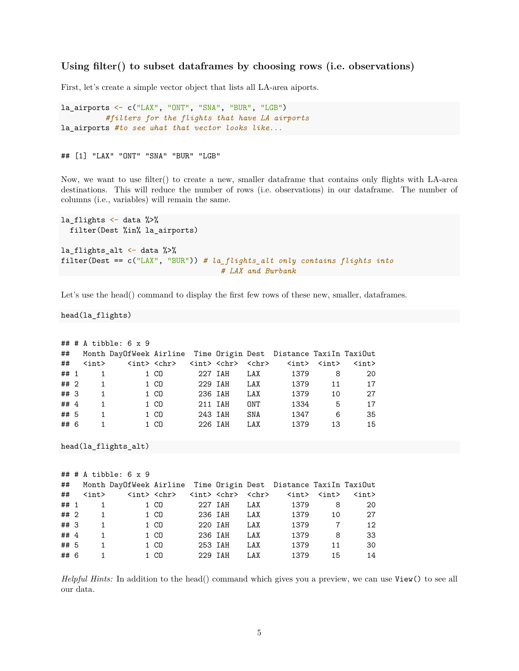#### **Using filter() to subset dataframes by choosing rows (i.e. observations)**

First, let's create a simple vector object that lists all LA-area aiports.

```
la_airports <- c("LAX", "ONT", "SNA", "BUR", "LGB")
          #filters for the flights that have LA airports
la_airports #to see what that vector looks like...
```
## [1] "LAX" "ONT" "SNA" "BUR" "LGB"

Now, we want to use filter() to create a new, smaller dataframe that contains only flights with LA-area destinations. This will reduce the number of rows (i.e. observations) in our dataframe. The number of columns (i.e., variables) will remain the same.

```
la_flights \leftarrow data %>%
 filter(Dest %in% la_airports)
la_flights_alt <- data %>%
filter(Dest == c("LAX", "BUR")) # la_flights_alt only contains flights into
                                     # LAX and Burbank
```
Let's use the head() command to display the first few rows of these new, smaller, dataframes.

head(la\_flights)

|        |              | $\#$ # # A tibble: 6 x 9                                         |                         |                                     |     |      |                                                           |             |
|--------|--------------|------------------------------------------------------------------|-------------------------|-------------------------------------|-----|------|-----------------------------------------------------------|-------------|
| ##     |              | Month DayOfWeek Airline Time Origin Dest Distance TaxiIn TaxiOut |                         |                                     |     |      |                                                           |             |
| ##     | <int></int>  |                                                                  | <int> <chr></chr></int> | <int> <chr> <chr></chr></chr></int> |     |      | $\langle \text{int} \rangle$ $\langle \text{int} \rangle$ | <int></int> |
| ## 1   | 1            |                                                                  | 1 CO                    | 227 IAH                             | LAX | 1379 | 8                                                         | 20          |
| ##2    | $\mathbf{1}$ |                                                                  | 1 CO                    | 229 IAH                             | LAX | 1379 | 11                                                        | 17          |
| ## 3   | $\mathbf{1}$ |                                                                  | 1 CO                    | 236 IAH                             | LAX | 1379 | 10                                                        | 27          |
| ## $4$ | 1            |                                                                  | 1 CO                    | 211 IAH                             | ONT | 1334 | 5                                                         | 17          |
| ## 5   | 1            |                                                                  | 1 CO                    | 243 IAH                             | SNA | 1347 | 6                                                         | 35          |
| ## 6   |              |                                                                  | 1 CO                    | 226 IAH                             | LAX | 1379 | 13                                                        | 15          |

```
head(la_flights_alt)
```

|      |                | $\#$ # # A tibble: 6 x 9                                         |                         |         |     |                                                             |                |             |
|------|----------------|------------------------------------------------------------------|-------------------------|---------|-----|-------------------------------------------------------------|----------------|-------------|
| ##   |                | Month DayOfWeek Airline Time Origin Dest Distance TaxiIn TaxiOut |                         |         |     |                                                             |                |             |
| ##   | <int></int>    |                                                                  | <int> <chr></chr></int> |         |     | <int> <chr> <chr> <int> <int></int></int></chr></chr></int> |                | <int></int> |
| ## 1 | $\overline{1}$ |                                                                  | 1 CO                    | 227 IAH | LAX | 1379                                                        | 8              | -20         |
| ## 2 | $\overline{1}$ |                                                                  | 1 CO                    | 236 IAH | LAX | 1379                                                        | 10             | 27          |
| ## 3 | $\mathbf{1}$   |                                                                  | 1 CO                    | 220 IAH | LAX | 1379                                                        | $\overline{7}$ | 12          |
| ## 4 | 1              |                                                                  | 1 CO                    | 236 IAH | LAX | 1379                                                        | 8              | 33          |
| ## 5 | 1              |                                                                  | 1 CO                    | 253 IAH | LAX | 1379                                                        | 11             | 30          |
| ## 6 | 1              |                                                                  | 1 CO                    | 229 IAH | LAX | 1379                                                        | 15             | 14          |

*Helpful Hints:* In addition to the head() command which gives you a preview, we can use View() to see all our data.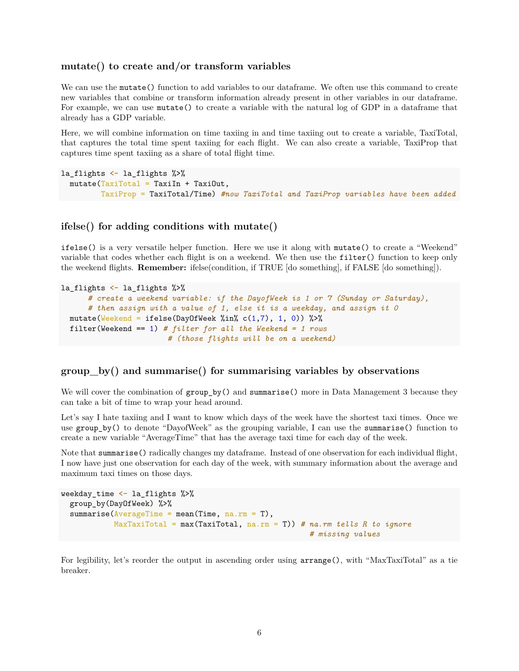#### **mutate() to create and/or transform variables**

We can use the mutate() function to add variables to our dataframe. We often use this command to create new variables that combine or transform information already present in other variables in our dataframe. For example, we can use mutate() to create a variable with the natural log of GDP in a dataframe that already has a GDP variable.

Here, we will combine information on time taxiing in and time taxiing out to create a variable, TaxiTotal, that captures the total time spent taxiing for each flight. We can also create a variable, TaxiProp that captures time spent taxiing as a share of total flight time.

```
la_flights <- la_flights %>%
  mutate(TaxiTotal = TaxiIn + TaxiOut.TaxiProp = TaxiTotal/Time) #now TaxiTotal and TaxiProp variables have been added
```
#### **ifelse() for adding conditions with mutate()**

ifelse() is a very versatile helper function. Here we use it along with mutate() to create a "Weekend" variable that codes whether each flight is on a weekend. We then use the filter() function to keep only the weekend flights. **Remember:** ifelse(condition, if TRUE [do something], if FALSE [do something]).

```
la_flights <- la_flights %>%
      # create a weekend variable: if the DayofWeek is 1 or 7 (Sunday or Saturday),
      # then assign with a value of 1, else it is a weekday, and assign it 0
  mutate(Weekend = ifelse(DayOfWeek x'in % c(1,7), 1, 0)) %filter(Weekend == 1) # filter for all the Weekend = 1 rows
                        # (those flights will be on a weekend)
```
#### **group\_by() and summarise() for summarising variables by observations**

We will cover the combination of group\_by() and summarise() more in Data Management 3 because they can take a bit of time to wrap your head around.

Let's say I hate taxiing and I want to know which days of the week have the shortest taxi times. Once we use group\_by() to denote "DayofWeek" as the grouping variable, I can use the summarise() function to create a new variable "AverageTime" that has the average taxi time for each day of the week.

Note that summarise() radically changes my dataframe. Instead of one observation for each individual flight, I now have just one observation for each day of the week, with summary information about the average and maximum taxi times on those days.

```
weekday_time <- la_flights %>%
  group_by(DayOfWeek) %>%
  summarise(AverageTime = mean(Time, na.rm = T),MaxTaxiTotal = max(TaxiTotal, na.rm = T)) # na.rm tells R to ignore
                                                        # missing values
```
For legibility, let's reorder the output in ascending order using arrange(), with "MaxTaxiTotal" as a tie breaker.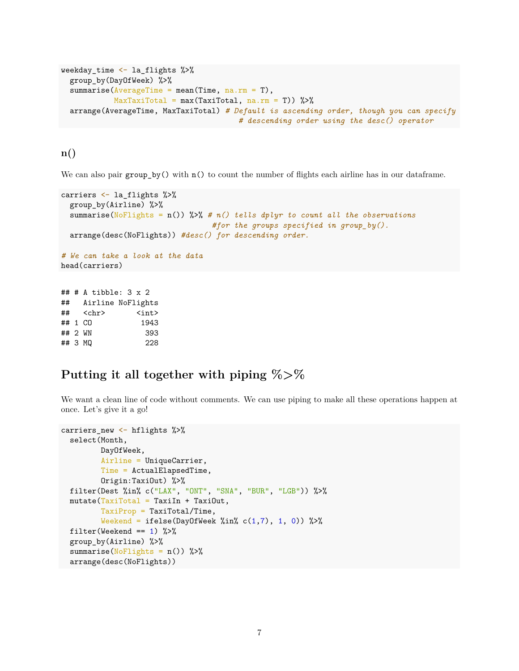```
weekday_time <- la_flights %>%
 group_by(DayOfWeek) %>%
 summarise(AverageTime = mean(Time, na.m = T),
           MaxTaxiTotal = max(TaxiTotal, na.rm = T)) %arrange(AverageTime, MaxTaxiTotal) # Default is ascending order, though you can specify
                                       # descending order using the desc() operator
```
### **n()**

We can also pair group\_by() with  $n()$  to count the number of flights each airline has in our dataframe.

```
carriers <- la_flights %>%
 group_by(Airline) %>%
 summarise(NoFlights = n()) %>% # n() tells dplyr to count all the observations
                               #for the groups specified in group_by().
 arrange(desc(NoFlights)) #desc() for descending order.
# We can take a look at the data
head(carriers)
## # A tibble: 3 x 2
## Airline NoFlights
## <chr> <int>
## 1 CO 1943
## 2 WN 393
## 3 MQ 228
```
## **Putting it all together with piping %>%**

We want a clean line of code without comments. We can use piping to make all these operations happen at once. Let's give it a go!

```
carriers_new <- hflights %>%
  select(Month,
         DayOfWeek,
         Airline = UniqueCarrier,
         Time = ActualElapsedTime,
         Origin:TaxiOut) %>%
  filter(Dest %in% c("LAX", "ONT", "SNA", "BUR", "LGB")) %>%
  mutate(TaxiTotal = TaxiIn + TaxiOut,TaxiProp = TaxiTotal/Time,
         Weekend = ifelse(DayOfWeek %in% c(1,7), 1, 0)) %>%
  filter(Weekend == 1) %>%
  group_by(Airline) %>%
  summarise(NoFlights = n()) %>%
  arrange(desc(NoFlights))
```